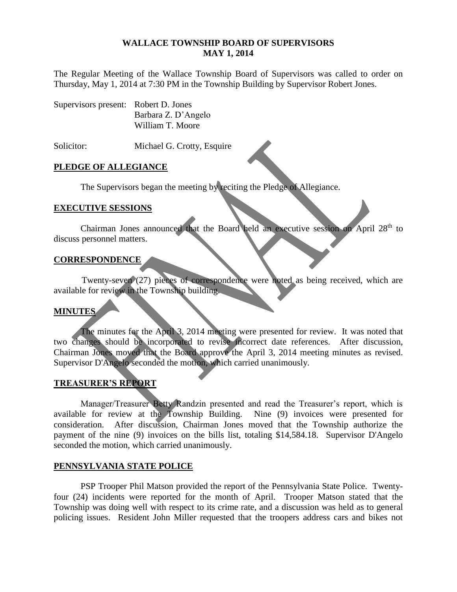#### **WALLACE TOWNSHIP BOARD OF SUPERVISORS MAY 1, 2014**

The Regular Meeting of the Wallace Township Board of Supervisors was called to order on Thursday, May 1, 2014 at 7:30 PM in the Township Building by Supervisor Robert Jones.

| Supervisors present: Robert D. Jones |                     |
|--------------------------------------|---------------------|
|                                      | Barbara Z. D'Angelo |
|                                      | William T. Moore    |

Solicitor: Michael G. Crotty, Esquire

# **PLEDGE OF ALLEGIANCE**

The Supervisors began the meeting by reciting the Pledge of Allegiance.

# **EXECUTIVE SESSIONS**

Chairman Jones announced that the Board held an executive session on April 28<sup>th</sup> to discuss personnel matters.

# **CORRESPONDENCE**

Twenty-seven (27) pieces of correspondence were noted as being received, which are available for review in the Township building.

# **MINUTES**

The minutes for the April 3, 2014 meeting were presented for review. It was noted that two changes should be incorporated to revise incorrect date references. After discussion, Chairman Jones moved that the Board approve the April 3, 2014 meeting minutes as revised. Supervisor D'Angelo seconded the motion, which carried unanimously.

# **TREASURER'S REPORT**

Manager/Treasurer Betty Randzin presented and read the Treasurer's report, which is available for review at the Township Building. Nine (9) invoices were presented for consideration. After discussion, Chairman Jones moved that the Township authorize the payment of the nine (9) invoices on the bills list, totaling \$14,584.18. Supervisor D'Angelo seconded the motion, which carried unanimously.

# **PENNSYLVANIA STATE POLICE**

PSP Trooper Phil Matson provided the report of the Pennsylvania State Police. Twentyfour (24) incidents were reported for the month of April. Trooper Matson stated that the Township was doing well with respect to its crime rate, and a discussion was held as to general policing issues. Resident John Miller requested that the troopers address cars and bikes not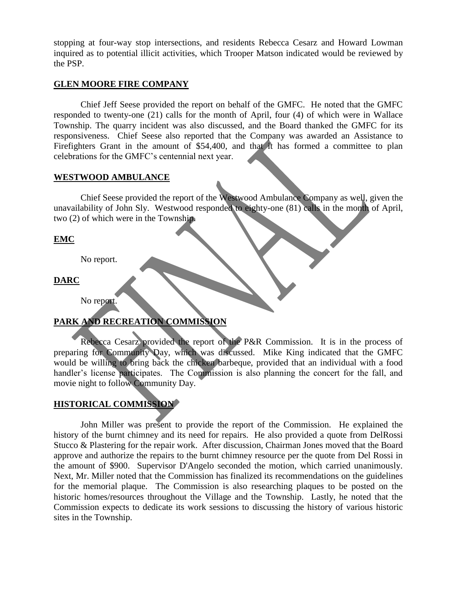stopping at four-way stop intersections, and residents Rebecca Cesarz and Howard Lowman inquired as to potential illicit activities, which Trooper Matson indicated would be reviewed by the PSP.

#### **GLEN MOORE FIRE COMPANY**

Chief Jeff Seese provided the report on behalf of the GMFC. He noted that the GMFC responded to twenty-one (21) calls for the month of April, four (4) of which were in Wallace Township. The quarry incident was also discussed, and the Board thanked the GMFC for its responsiveness. Chief Seese also reported that the Company was awarded an Assistance to Firefighters Grant in the amount of \$54,400, and that it has formed a committee to plan celebrations for the GMFC's centennial next year.

#### **WESTWOOD AMBULANCE**

Chief Seese provided the report of the Westwood Ambulance Company as well, given the unavailability of John Sly. Westwood responded to eighty-one (81) calls in the month of April, two (2) of which were in the Township.

#### **EMC**

No report.

**DARC**

No report.

# **PARK AND RECREATION COMMISSION**

Rebecca Cesarz provided the report of the P&R Commission. It is in the process of preparing for Community Day, which was discussed. Mike King indicated that the GMFC would be willing to bring back the chicken barbeque, provided that an individual with a food handler's license participates. The Commission is also planning the concert for the fall, and movie night to follow Community Day.

# **HISTORICAL COMMISSION**

John Miller was present to provide the report of the Commission. He explained the history of the burnt chimney and its need for repairs. He also provided a quote from DelRossi Stucco & Plastering for the repair work. After discussion, Chairman Jones moved that the Board approve and authorize the repairs to the burnt chimney resource per the quote from Del Rossi in the amount of \$900. Supervisor D'Angelo seconded the motion, which carried unanimously. Next, Mr. Miller noted that the Commission has finalized its recommendations on the guidelines for the memorial plaque. The Commission is also researching plaques to be posted on the historic homes/resources throughout the Village and the Township. Lastly, he noted that the Commission expects to dedicate its work sessions to discussing the history of various historic sites in the Township.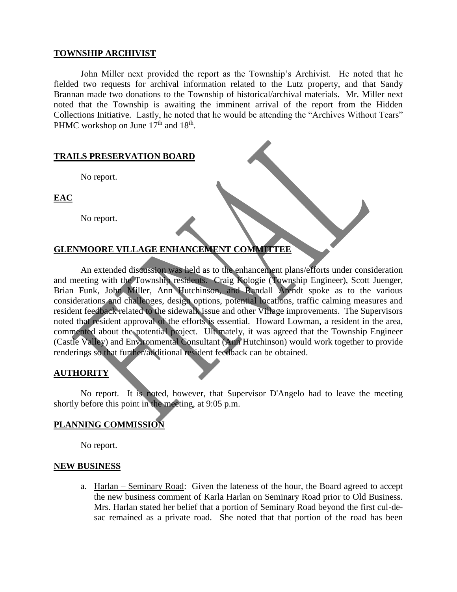#### **TOWNSHIP ARCHIVIST**

John Miller next provided the report as the Township's Archivist. He noted that he fielded two requests for archival information related to the Lutz property, and that Sandy Brannan made two donations to the Township of historical/archival materials. Mr. Miller next noted that the Township is awaiting the imminent arrival of the report from the Hidden Collections Initiative. Lastly, he noted that he would be attending the "Archives Without Tears" PHMC workshop on June  $17<sup>th</sup>$  and  $18<sup>th</sup>$ .

#### **TRAILS PRESERVATION BOARD**

No report.

**EAC**

No report.

# **GLENMOORE VILLAGE ENHANCEMENT COMMITTEE**

An extended discussion was held as to the enhancement plans/efforts under consideration and meeting with the Township residents. Craig Kologie (Township Engineer), Scott Juenger, Brian Funk, John Miller, Ann Hutchinson, and Randall Arendt spoke as to the various considerations and challenges, design options, potential locations, traffic calming measures and resident feedback related to the sidewalk issue and other Village improvements. The Supervisors noted that resident approval of the efforts is essential. Howard Lowman, a resident in the area, commented about the potential project. Ultimately, it was agreed that the Township Engineer (Castle Valley) and Environmental Consultant (Ann Hutchinson) would work together to provide renderings so that further/additional resident feedback can be obtained.

#### **AUTHORITY**

No report. It is noted, however, that Supervisor D'Angelo had to leave the meeting shortly before this point in the meeting, at 9:05 p.m.

# **PLANNING COMMISSION**

No report.

#### **NEW BUSINESS**

a. Harlan – Seminary Road: Given the lateness of the hour, the Board agreed to accept the new business comment of Karla Harlan on Seminary Road prior to Old Business. Mrs. Harlan stated her belief that a portion of Seminary Road beyond the first cul-desac remained as a private road. She noted that that portion of the road has been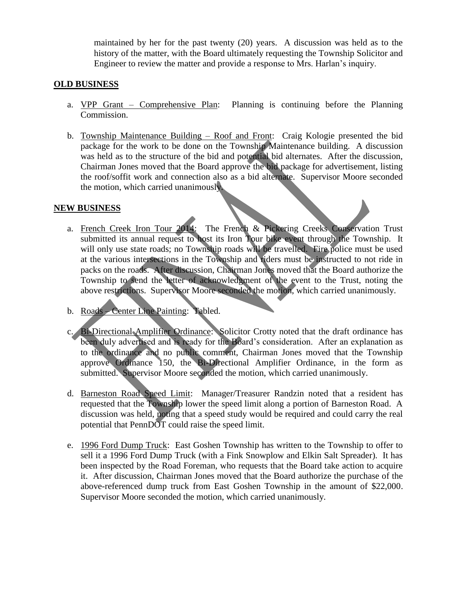maintained by her for the past twenty (20) years. A discussion was held as to the history of the matter, with the Board ultimately requesting the Township Solicitor and Engineer to review the matter and provide a response to Mrs. Harlan's inquiry.

# **OLD BUSINESS**

- a. VPP Grant Comprehensive Plan: Planning is continuing before the Planning Commission.
- b. Township Maintenance Building Roof and Front: Craig Kologie presented the bid package for the work to be done on the Township Maintenance building. A discussion was held as to the structure of the bid and potential bid alternates. After the discussion, Chairman Jones moved that the Board approve the bid package for advertisement, listing the roof/soffit work and connection also as a bid alternate. Supervisor Moore seconded the motion, which carried unanimously.

#### **NEW BUSINESS**

- a. French Creek Iron Tour 2014: The French & Pickering Creeks Conservation Trust submitted its annual request to host its Iron Tour bike event through the Township. It will only use state roads; no Township roads will be travelled. Fire police must be used at the various intersections in the Township and riders must be instructed to not ride in packs on the roads. After discussion, Chairman Jones moved that the Board authorize the Township to send the letter of acknowledgment of the event to the Trust, noting the above restrictions. Supervisor Moore seconded the motion, which carried unanimously.
- b. Roads Center Line Painting: Tabled.
- c. Bi-Directional Amplifier Ordinance: Solicitor Crotty noted that the draft ordinance has been duly advertised and is ready for the Board's consideration. After an explanation as to the ordinance and no public comment, Chairman Jones moved that the Township approve Ordinance 150, the Bi-Directional Amplifier Ordinance, in the form as submitted. Supervisor Moore seconded the motion, which carried unanimously.
- d. Barneston Road Speed Limit: Manager/Treasurer Randzin noted that a resident has requested that the Township lower the speed limit along a portion of Barneston Road. A discussion was held, noting that a speed study would be required and could carry the real potential that PennDOT could raise the speed limit.
- e. 1996 Ford Dump Truck: East Goshen Township has written to the Township to offer to sell it a 1996 Ford Dump Truck (with a Fink Snowplow and Elkin Salt Spreader). It has been inspected by the Road Foreman, who requests that the Board take action to acquire it. After discussion, Chairman Jones moved that the Board authorize the purchase of the above-referenced dump truck from East Goshen Township in the amount of \$22,000. Supervisor Moore seconded the motion, which carried unanimously.